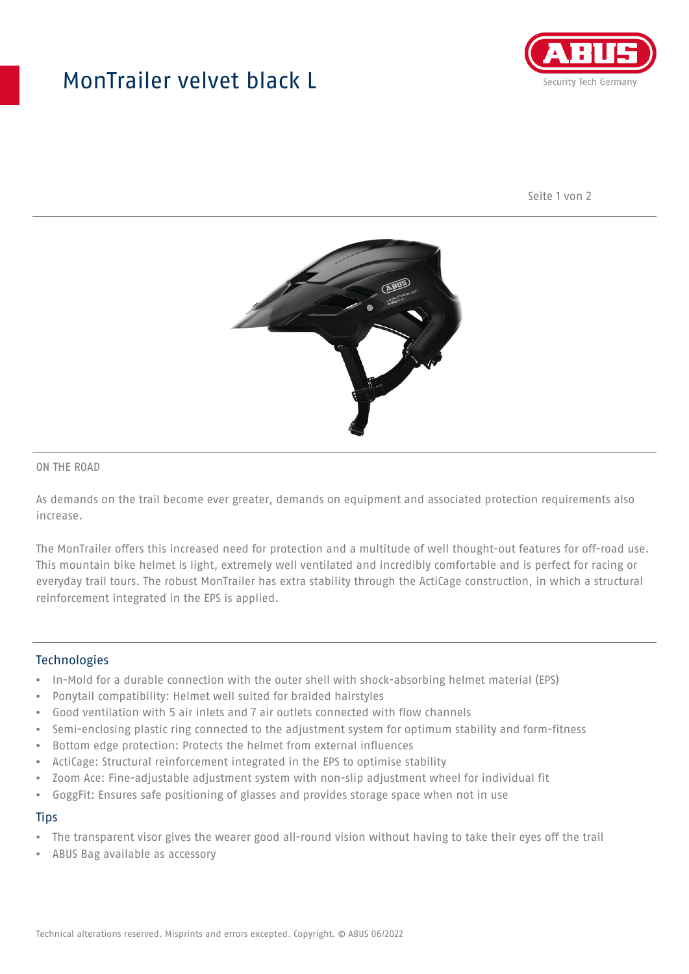## MonTrailer velvet black L



Seite 1 von 2



#### ON THE ROAD

As demands on the trail become ever greater, demands on equipment and associated protection requirements also increase.

The MonTrailer offers this increased need for protection and a multitude of well thought-out features for off-road use. This mountain bike helmet is light, extremely well ventilated and incredibly comfortable and is perfect for racing or everyday trail tours. The robust MonTrailer has extra stability through the ActiCage construction, in which a structural reinforcement integrated in the EPS is applied.

#### **Technologies**

- In-Mold for a durable connection with the outer shell with shock-absorbing helmet material (EPS)
- Ponytail compatibility: Helmet well suited for braided hairstyles
- Good ventilation with 5 air inlets and 7 air outlets connected with flow channels
- Semi-enclosing plastic ring connected to the adjustment system for optimum stability and form-fitness
- Bottom edge protection: Protects the helmet from external influences
- ActiCage: Structural reinforcement integrated in the EPS to optimise stability
- Zoom Ace: Fine-adjustable adjustment system with non-slip adjustment wheel for individual fit
- GoggFit: Ensures safe positioning of glasses and provides storage space when not in use

#### **Tips**

- The transparent visor gives the wearer good all-round vision without having to take their eyes off the trail
- ABUS Bag available as accessory